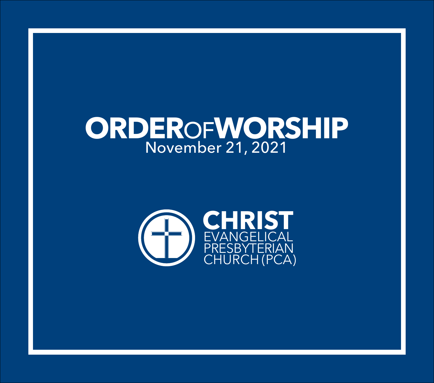# **ORDER**OF**WORSHIP** November 21, 2021

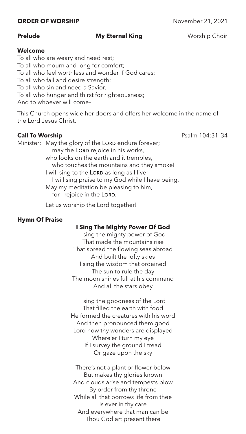# **Prelude My Eternal King My Prelude** Worship Choir

# **Welcome**

To all who are weary and need rest; To all who mourn and long for comfort; To all who feel worthless and wonder if God cares; To all who fail and desire strength; To all who sin and need a Savior; To all who hunger and thirst for righteousness; And to whoever will come–

This Church opens wide her doors and offers her welcome in the name of the Lord Jesus Christ.

**Call To Worship Call To Worship Psalm 104:31-34** 

Minister: May the glory of the LORD endure forever; may the LORD rejoice in his works, who looks on the earth and it trembles, who touches the mountains and they smoke! I will sing to the LORD as long as I live; I will sing praise to my God while I have being. May my meditation be pleasing to him, for I rejoice in the LORD.

Let us worship the Lord together!

# **Hymn Of Praise**

# **I Sing The Mighty Power Of God**

I sing the mighty power of God That made the mountains rise That spread the flowing seas abroad And built the lofty skies I sing the wisdom that ordained The sun to rule the day The moon shines full at his command And all the stars obey

I sing the goodness of the Lord That filled the earth with food He formed the creatures with his word And then pronounced them good Lord how thy wonders are displayed Where'er I turn my eye If I survey the ground I tread Or gaze upon the sky

There's not a plant or flower below But makes thy glories known And clouds arise and tempests blow By order from thy throne While all that borrows life from thee Is ever in thy care And everywhere that man can be Thou God art present there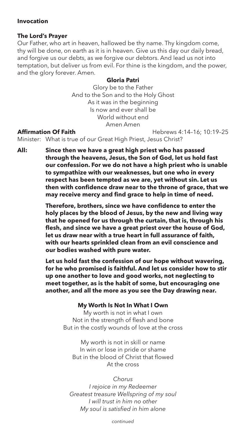### **Invocation**

#### **The Lord's Prayer**

Our Father, who art in heaven, hallowed be thy name. Thy kingdom come, thy will be done, on earth as it is in heaven. Give us this day our daily bread, and forgive us our debts, as we forgive our debtors. And lead us not into temptation, but deliver us from evil. For thine is the kingdom, and the power, and the glory forever. Amen.

#### **Gloria Patri**

Glory be to the Father And to the Son and to the Holy Ghost As it was in the beginning Is now and ever shall be World without end Amen Amen

**Affirmation Of Faith Hebrews 4:14-16: 10:19-25** 

Minister: What is true of our Great High Priest, Jesus Christ?

**All: Since then we have a great high priest who has passed through the heavens, Jesus, the Son of God, let us hold fast our confession. For we do not have a high priest who is unable to sympathize with our weaknesses, but one who in every respect has been tempted as we are, yet without sin. Let us then with confidence draw near to the throne of grace, that we may receive mercy and find grace to help in time of need.**

> **Therefore, brothers, since we have confidence to enter the holy places by the blood of Jesus, by the new and living way that he opened for us through the curtain, that is, through his flesh, and since we have a great priest over the house of God, let us draw near with a true heart in full assurance of faith, with our hearts sprinkled clean from an evil conscience and our bodies washed with pure water.**

> **Let us hold fast the confession of our hope without wavering, for he who promised is faithful. And let us consider how to stir up one another to love and good works, not neglecting to meet together, as is the habit of some, but encouraging one another, and all the more as you see the Day drawing near.**

### **My Worth Is Not In What I Own**

My worth is not in what I own Not in the strength of flesh and bone But in the costly wounds of love at the cross

My worth is not in skill or name In win or lose in pride or shame But in the blood of Christ that flowed At the cross

#### *Chorus*

*I rejoice in my Redeemer Greatest treasure Wellspring of my soul I will trust in him no other My soul is satisfied in him alone*

*continued*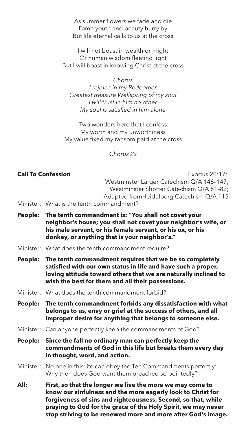As summer flowers we fade and die Fame youth and beauty hurry by But life eternal calls to us at the cross

I will not boast in wealth or might Or human wisdom fleeting light But I will boast in knowing Christ at the cross

*Chorus I rejoice in my Redeemer Greatest treasure Wellspring of my soul I will trust in him no other My soul is satisfied in him alone*

Two wonders here that I confess My worth and my unworthiness My value fixed my ransom paid at the cross

*Chorus 2x*

| <b>Call To Confession</b> | Exodus 20:17:                             |
|---------------------------|-------------------------------------------|
|                           | Westminster Larger Catechism Q/A 146-147; |
|                           | Westminster Shorter Catechism Q/A 81-82;  |
|                           | Adapted from Heidelberg Catechism Q/A 115 |
| $\blacksquare$            |                                           |

- Minister: What is the tenth commandment?
- **People: The tenth commandment is: "You shall not covet your neighbor's house; you shall not covet your neighbor's wife, or his male servant, or his female servant, or his ox, or his donkey, or anything that is your neighbor's."**
- Minister: What does the tenth commandment require?
- **People: The tenth commandment requires that we be so completely satisfied with our own status in life and have such a proper, loving attitude toward others that we are naturally inclined to wish the best for them and all their possessions.**
- Minister: What does the tenth commandment forbid?
- **People: The tenth commandment forbids any dissatisfaction with what belongs to us, envy or grief at the success of others, and all improper desire for anything that belongs to someone else.**
- Minister: Can anyone perfectly keep the commandments of God?
- **People: Since the fall no ordinary man can perfectly keep the commandments of God in this life but breaks them every day in thought, word, and action.**
- Minister: No one in this life can obey the Ten Commandments perfectly: Why then does God want them preached so pointedly?
- **All: First, so that the longer we live the more we may come to know our sinfulness and the more eagerly look to Christ for forgiveness of sins and righteousness. Second, so that, while praying to God for the grace of the Holy Spirit, we may never stop striving to be renewed more and more after God's image.**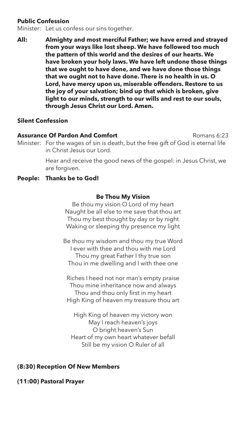# **Public Confession**

Minister: Let us confess our sins together.

**All: Almighty and most merciful Father; we have erred and strayed from your ways like lost sheep. We have followed too much the pattern of this world and the desires of our hearts. We have broken your holy laws. We have left undone those things that we ought to have done, and we have done those things that we ought not to have done. There is no health in us. O Lord, have mercy upon us, miserable offenders. Restore to us the joy of your salvation; bind up that which is broken, give light to our minds, strength to our wills and rest to our souls, through Jesus Christ our Lord. Amen.**

# **Silent Confession**

# **Assurance Of Pardon And Comfort Romans 6:23**

Minister: For the wages of sin is death, but the free gift of God is eternal life in Christ Jesus our Lord.

> Hear and receive the good news of the gospel: in Jesus Christ, we are forgiven.

#### **People: Thanks be to God!**

### **Be Thou My Vision**

Be thou my vision O Lord of my heart Naught be all else to me save that thou art Thou my best thought by day or by night Waking or sleeping thy presence my light

Be thou my wisdom and thou my true Word I ever with thee and thou with me Lord Thou my great Father I thy true son Thou in me dwelling and I with thee one

Riches I heed not nor man's empty praise Thou mine inheritance now and always Thou and thou only first in my heart High King of heaven my treasure thou art

High King of heaven my victory won May I reach heaven's joys O bright heaven's Sun Heart of my own heart whatever befall Still be my vision O Ruler of all

### **(8:30) Reception Of New Members**

### **(11:00) Pastoral Prayer**